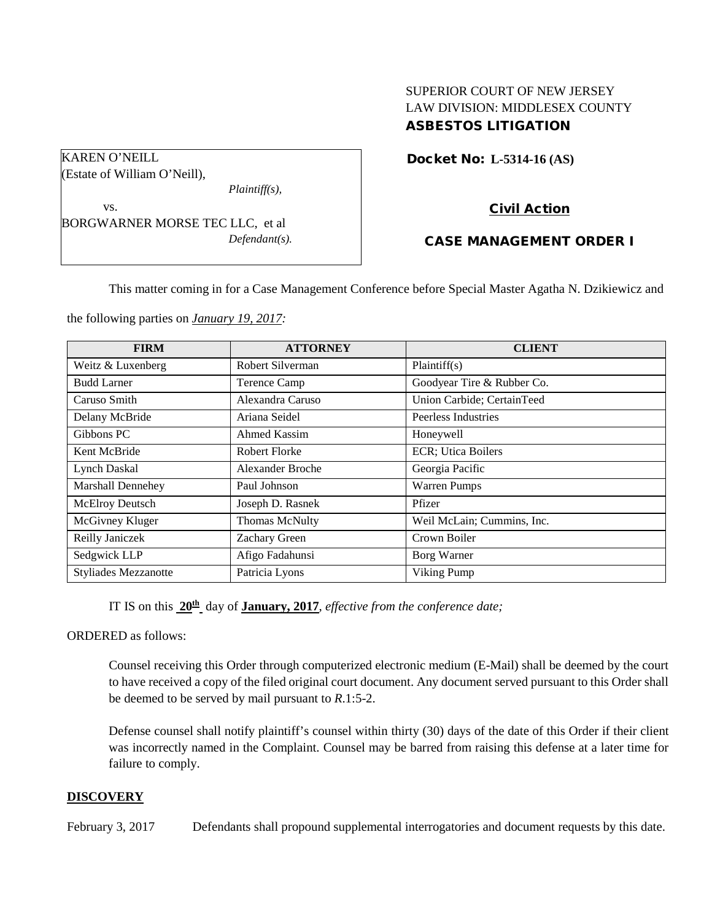# SUPERIOR COURT OF NEW JERSEY LAW DIVISION: MIDDLESEX COUNTY ASBESTOS LITIGATION

Docket No: **L-5314-16 (AS)** 

Civil Action

# CASE MANAGEMENT ORDER I

This matter coming in for a Case Management Conference before Special Master Agatha N. Dzikiewicz and

the following parties on *January 19, 2017:*

BORGWARNER MORSE TEC LLC, et al

*Plaintiff(s),*

*Defendant(s).*

KAREN O'NEILL

vs.

(Estate of William O'Neill),

| <b>FIRM</b>                 | <b>ATTORNEY</b>       | <b>CLIENT</b>              |
|-----------------------------|-----------------------|----------------------------|
| Weitz & Luxenberg           | Robert Silverman      | Plaintiff(s)               |
| <b>Budd Larner</b>          | <b>Terence Camp</b>   | Goodyear Tire & Rubber Co. |
| Caruso Smith                | Alexandra Caruso      | Union Carbide; CertainTeed |
| Delany McBride              | Ariana Seidel         | Peerless Industries        |
| Gibbons PC                  | Ahmed Kassim          | Honeywell                  |
| Kent McBride                | <b>Robert Florke</b>  | ECR; Utica Boilers         |
| Lynch Daskal                | Alexander Broche      | Georgia Pacific            |
| <b>Marshall Dennehey</b>    | Paul Johnson          | <b>Warren Pumps</b>        |
| McElroy Deutsch             | Joseph D. Rasnek      | Pfizer                     |
| McGivney Kluger             | <b>Thomas McNulty</b> | Weil McLain; Cummins, Inc. |
| Reilly Janiczek             | Zachary Green         | Crown Boiler               |
| Sedgwick LLP                | Afigo Fadahunsi       | Borg Warner                |
| <b>Styliades Mezzanotte</b> | Patricia Lyons        | Viking Pump                |

IT IS on this **20th** day of **January, 2017**, *effective from the conference date;*

ORDERED as follows:

Counsel receiving this Order through computerized electronic medium (E-Mail) shall be deemed by the court to have received a copy of the filed original court document. Any document served pursuant to this Order shall be deemed to be served by mail pursuant to *R*.1:5-2.

Defense counsel shall notify plaintiff's counsel within thirty (30) days of the date of this Order if their client was incorrectly named in the Complaint. Counsel may be barred from raising this defense at a later time for failure to comply.

#### **DISCOVERY**

February 3, 2017 Defendants shall propound supplemental interrogatories and document requests by this date.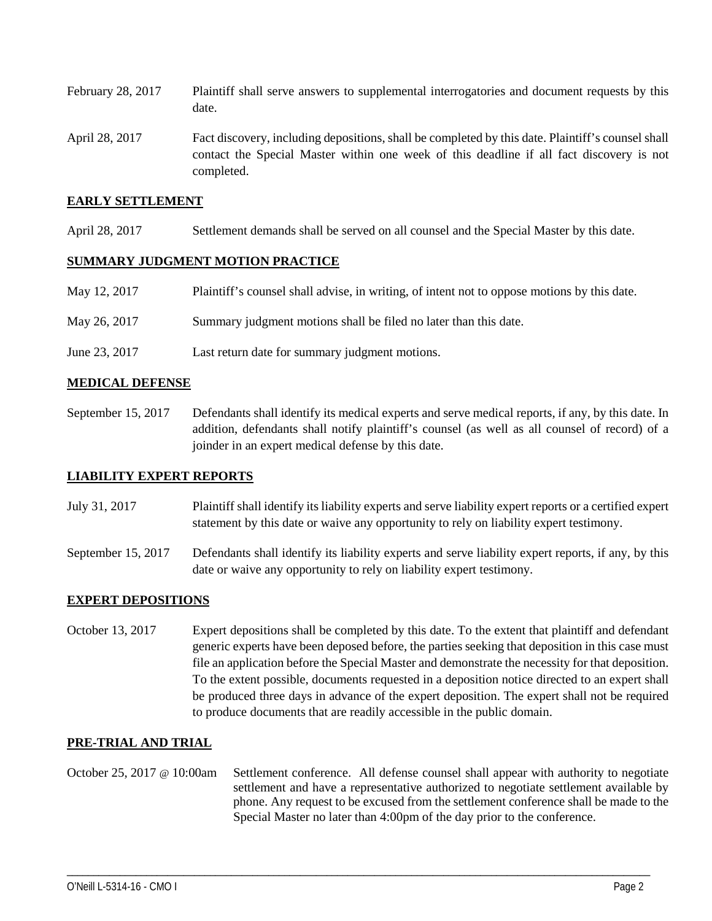- February 28, 2017 Plaintiff shall serve answers to supplemental interrogatories and document requests by this date.
- April 28, 2017 Fact discovery, including depositions, shall be completed by this date. Plaintiff's counsel shall contact the Special Master within one week of this deadline if all fact discovery is not completed.

## **EARLY SETTLEMENT**

April 28, 2017 Settlement demands shall be served on all counsel and the Special Master by this date.

#### **SUMMARY JUDGMENT MOTION PRACTICE**

- May 12, 2017 Plaintiff's counsel shall advise, in writing, of intent not to oppose motions by this date.
- May 26, 2017 Summary judgment motions shall be filed no later than this date.
- June 23, 2017 Last return date for summary judgment motions.

## **MEDICAL DEFENSE**

September 15, 2017 Defendants shall identify its medical experts and serve medical reports, if any, by this date. In addition, defendants shall notify plaintiff's counsel (as well as all counsel of record) of a joinder in an expert medical defense by this date.

#### **LIABILITY EXPERT REPORTS**

- July 31, 2017 Plaintiff shall identify its liability experts and serve liability expert reports or a certified expert statement by this date or waive any opportunity to rely on liability expert testimony.
- September 15, 2017 Defendants shall identify its liability experts and serve liability expert reports, if any, by this date or waive any opportunity to rely on liability expert testimony.

#### **EXPERT DEPOSITIONS**

October 13, 2017 Expert depositions shall be completed by this date. To the extent that plaintiff and defendant generic experts have been deposed before, the parties seeking that deposition in this case must file an application before the Special Master and demonstrate the necessity for that deposition. To the extent possible, documents requested in a deposition notice directed to an expert shall be produced three days in advance of the expert deposition. The expert shall not be required to produce documents that are readily accessible in the public domain.

#### **PRE-TRIAL AND TRIAL**

October 25, 2017 @ 10:00am Settlement conference. All defense counsel shall appear with authority to negotiate settlement and have a representative authorized to negotiate settlement available by phone. Any request to be excused from the settlement conference shall be made to the Special Master no later than 4:00pm of the day prior to the conference.

\_\_\_\_\_\_\_\_\_\_\_\_\_\_\_\_\_\_\_\_\_\_\_\_\_\_\_\_\_\_\_\_\_\_\_\_\_\_\_\_\_\_\_\_\_\_\_\_\_\_\_\_\_\_\_\_\_\_\_\_\_\_\_\_\_\_\_\_\_\_\_\_\_\_\_\_\_\_\_\_\_\_\_\_\_\_\_\_\_\_\_\_\_\_\_\_\_\_\_\_\_\_\_\_\_\_\_\_\_\_